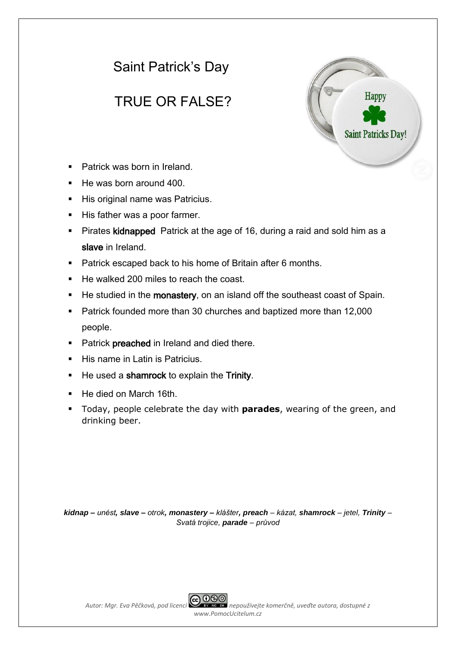# Saint Patrick's Day

# TRUE OR FALSE?



- Patrick was born in Ireland.
- He was born around 400.
- His original name was Patricius.
- His father was a poor farmer.
- **Pirates kidnapped** Patrick at the age of 16, during a raid and sold him as a slave in Ireland.
- **Patrick escaped back to his home of Britain after 6 months.**
- He walked 200 miles to reach the coast.
- He studied in the monastery, on an island off the southeast coast of Spain.
- Patrick founded more than 30 churches and baptized more than 12,000 people.
- Patrick preached in Ireland and died there.
- $\blacksquare$  His name in Latin is Patricius.
- He used a shamrock to explain the Trinity.
- He died on March 16th.
- Today, people celebrate the day with **parades**, wearing of the green, and drinking beer.

*kidnap – unést, slave – otrok, monastery – klášter, preach – kázat, shamrock – jetel, Trinity – Svatá trojice, parade – průvod*



*Autor: Mgr. Eva Pěčková, pod licencí nepoužívejte komerčně, uveďte autora, dostupné z www.PomocUcitelum.cz*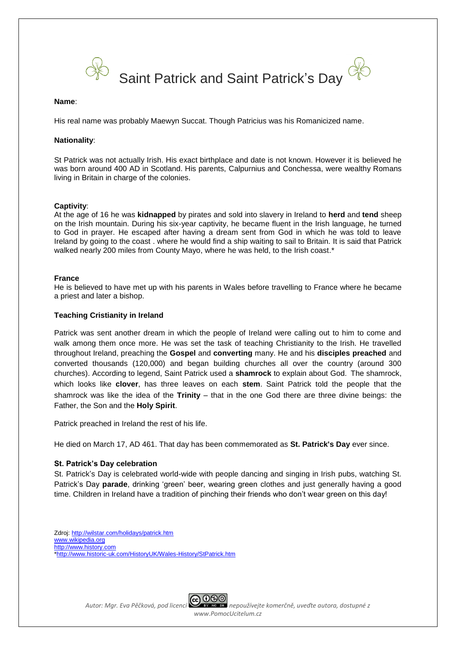

#### **Name**:

His real name was probably Maewyn Succat. Though Patricius was his Romanicized name.

#### **Nationality**:

St Patrick was not actually Irish. His exact birthplace and date is not known. However it is believed he was born around 400 AD in Scotland. His parents, Calpurnius and Conchessa, were wealthy Romans living in Britain in charge of the colonies.

#### **Captivity**:

At the age of 16 he was **kidnapped** by pirates and sold into slavery in Ireland to **herd** and **tend** sheep on the Irish mountain. During his six-year captivity, he became fluent in the Irish language, he turned to God in prayer. He escaped after having a dream sent from God in which he was told to leave Ireland by going to the coast . where he would find a ship waiting to sail to Britain. It is said that Patrick walked nearly 200 miles from County Mayo, where he was held, to the Irish coast.<sup>\*</sup>

#### **France**

He is believed to have met up with his parents in Wales before travelling to France where he became a priest and later a bishop.

### **Teaching Cristianity in Ireland**

Patrick was sent another dream in which the people of Ireland were calling out to him to come and walk among them once more. He was set the task of teaching Christianity to the Irish. He travelled throughout Ireland, preaching the **Gospel** and **converting** many. He and his **disciples preached** and converted thousands (120,000) and began building churches all over the country (around 300 churches). According to legend, Saint Patrick used a **shamrock** to explain about God. The shamrock, which looks like **clover**, has three leaves on each **stem**. Saint Patrick told the people that the shamrock was like the idea of the **Trinity** – that in the one God there are three divine beings: the Father, the Son and the **Holy Spirit**.

Patrick preached in Ireland the rest of his life.

He died on March 17, AD 461. That day has been commemorated as **St. Patrick's Day** ever since.

### **St. Patrick's Day celebration**

St. Patrick's Day is celebrated world-wide with people dancing and singing in Irish pubs, watching St. Patrick's Day **parade**, drinking 'green' beer, wearing green clothes and just generally having a good time. Children in Ireland have a tradition of pinching their friends who don't wear green on this day!

Zdroj: <http://wilstar.com/holidays/patrick.htm> [www.wikipedia.org](http://www.wikipedia.org/) [http://www.history.com](http://www.history.com/) [\\*http://www.historic-uk.com/HistoryUK/Wales-History/StPatrick.htm](http://www.historic-uk.com/HistoryUK/Wales-History/StPatrick.htm)

*Autor: Mgr. Eva Pěčková, pod licencí nepoužívejte komerčně, uveďte autora, dostupné z www.PomocUcitelum.cz*